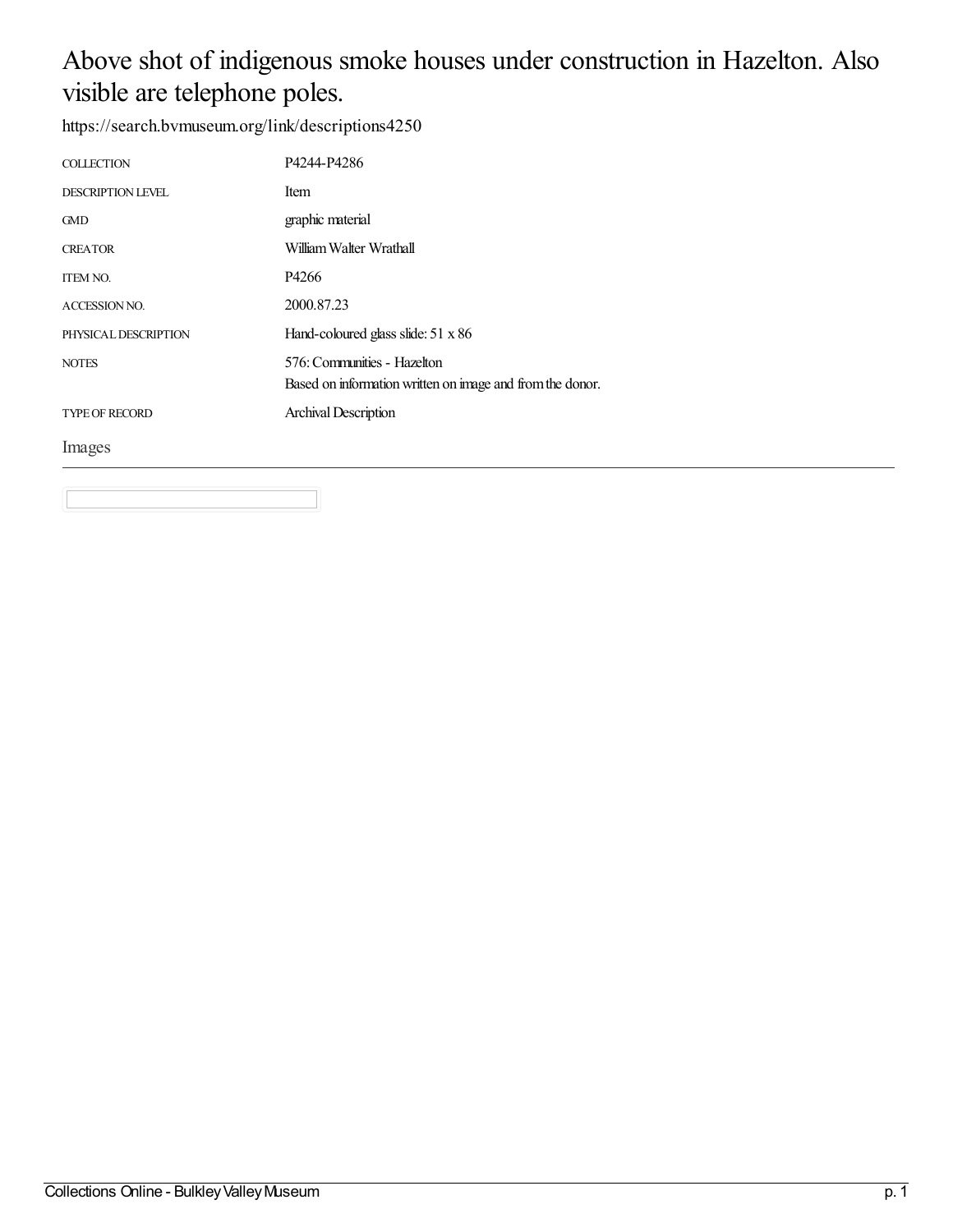#### Above shot of indigenous smoke houses under construction in Hazelton. Also visible are telephone poles.

| <b>COLLECTION</b>        | P4244-P4286                                                                              |
|--------------------------|------------------------------------------------------------------------------------------|
| <b>DESCRIPTION LEVEL</b> | Item                                                                                     |
| <b>GMD</b>               | graphic material                                                                         |
| <b>CREATOR</b>           | William Walter Wrathall                                                                  |
| <b>ITEM NO.</b>          | P4266                                                                                    |
| <b>ACCESSION NO.</b>     | 2000.87.23                                                                               |
| PHYSICAL DESCRIPTION     | Hand-coloured glass slide: $51 \times 86$                                                |
| <b>NOTES</b>             | 576: Communities - Hazelton<br>Based on information written on image and from the donor. |
| <b>TYPE OF RECORD</b>    | <b>Archival Description</b>                                                              |
| Images                   |                                                                                          |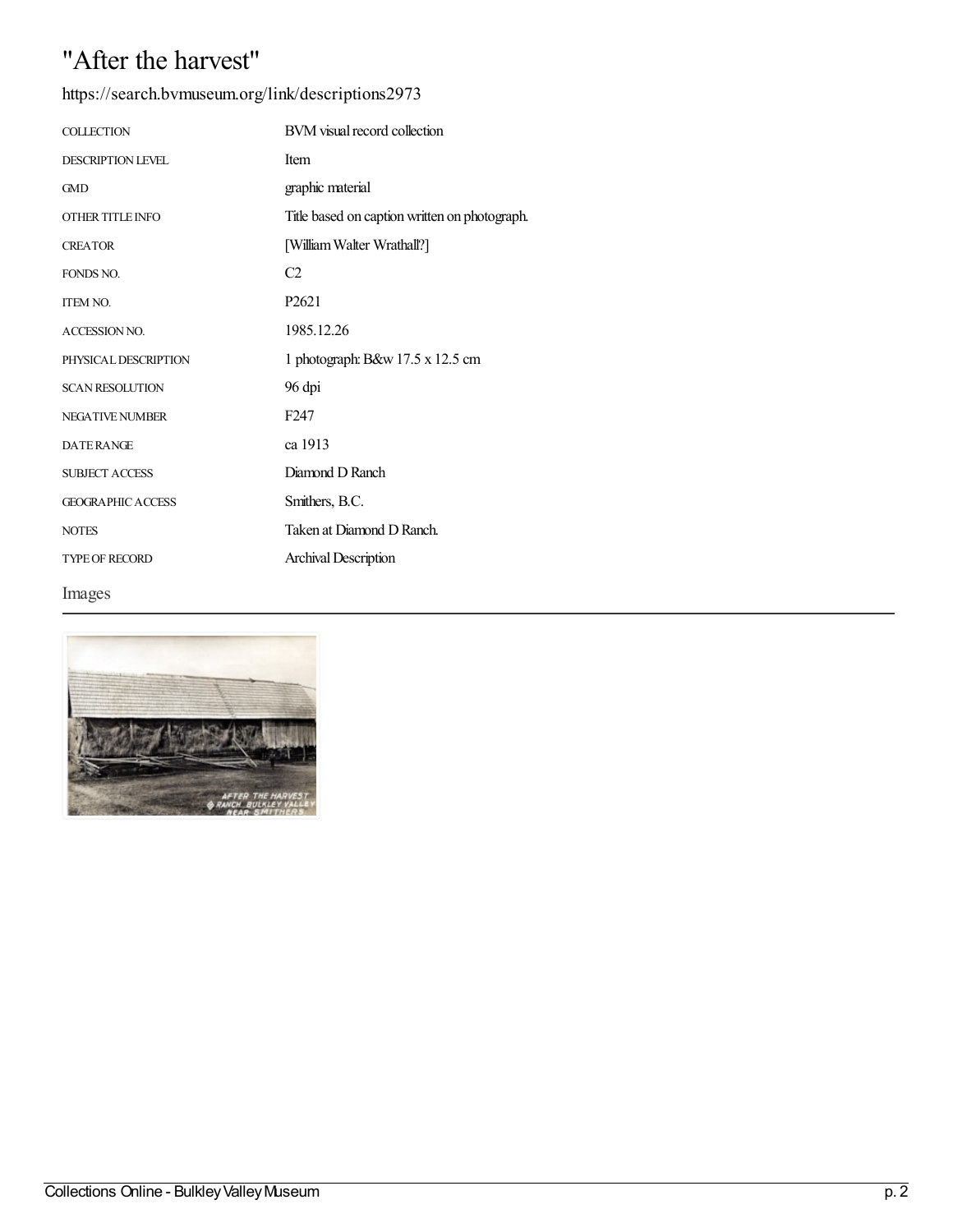## "After the harvest"

| https://search.bvmuseum.org/link/descriptions2973 |  |
|---------------------------------------------------|--|
|                                                   |  |

| <b>COLLECTION</b>        | BVM visual record collection                  |
|--------------------------|-----------------------------------------------|
| <b>DESCRIPTION LEVEL</b> | Item                                          |
| <b>GMD</b>               | graphic material                              |
| <b>OTHER TITLE INFO</b>  | Title based on caption written on photograph. |
| <b>CREATOR</b>           | [William Walter Wrathall?]                    |
| FONDS NO.                | C <sub>2</sub>                                |
| <b>ITEM NO.</b>          | P <sub>2621</sub>                             |
| <b>ACCESSION NO.</b>     | 1985.12.26                                    |
| PHYSICAL DESCRIPTION     | 1 photograph: B&w 17.5 x 12.5 cm              |
| <b>SCAN RESOLUTION</b>   | 96 dpi                                        |
| <b>NEGATIVE NUMBER</b>   | F <sub>247</sub>                              |
| <b>DATERANGE</b>         | ca 1913                                       |
| <b>SUBJECT ACCESS</b>    | Diamond D Ranch                               |
| <b>GEOGRAPHIC ACCESS</b> | Smithers, B.C.                                |
| <b>NOTES</b>             | Taken at Diamond D Ranch.                     |
| <b>TYPE OF RECORD</b>    | <b>Archival Description</b>                   |
| Images                   |                                               |

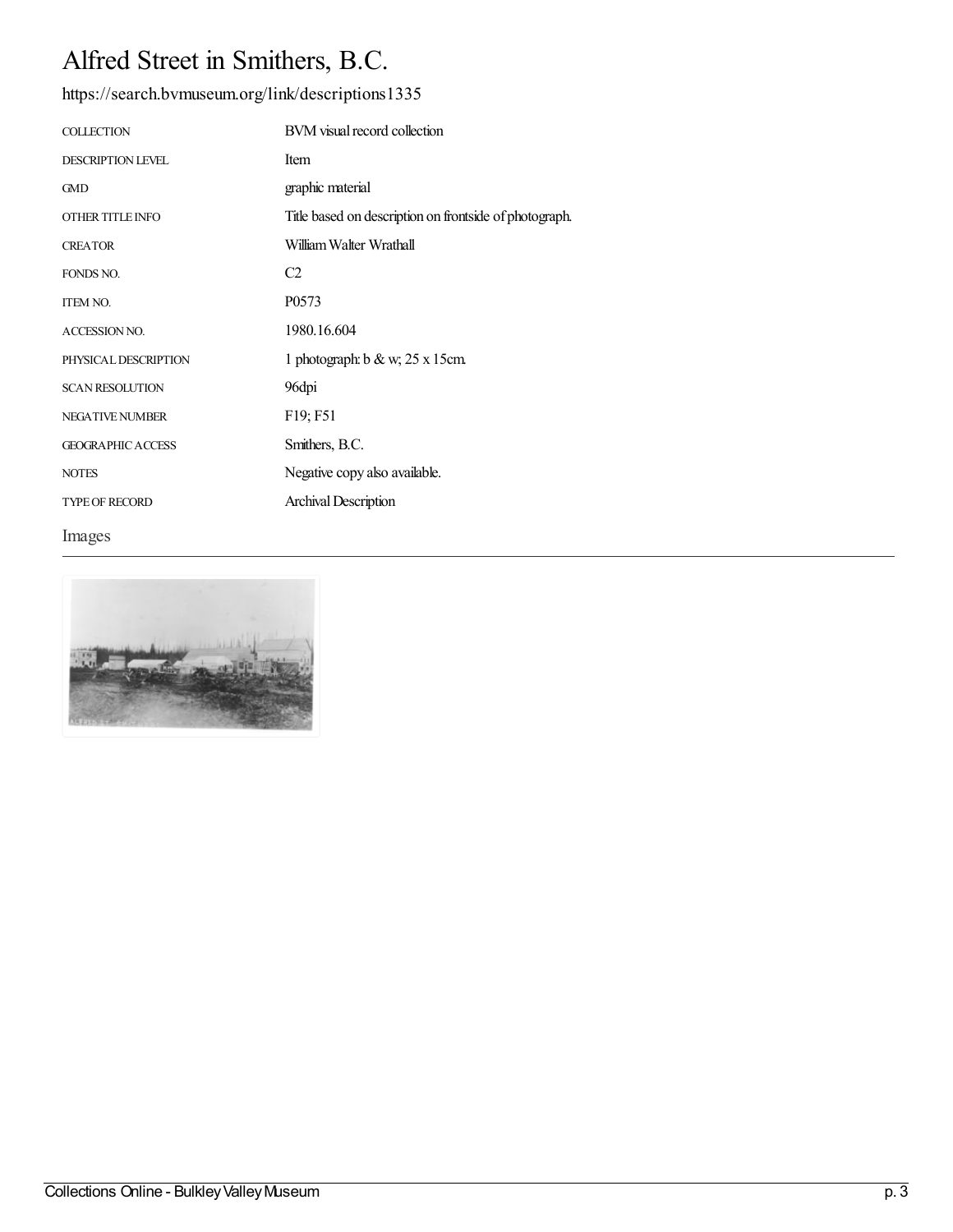# Alfred Street in Smithers, B.C.

<https://search.bvmuseum.org/link/descriptions1335>

| <b>COLLECTION</b>        | BVM visual record collection                           |
|--------------------------|--------------------------------------------------------|
| <b>DESCRIPTION LEVEL</b> | Item                                                   |
| <b>GMD</b>               | graphic material                                       |
| OTHER TITLE INFO         | Title based on description on frontside of photograph. |
| <b>CREATOR</b>           | William Walter Wrathall                                |
| FONDS NO.                | C <sub>2</sub>                                         |
| <b>ITEM NO.</b>          | P0573                                                  |
| <b>ACCESSION NO.</b>     | 1980.16.604                                            |
| PHYSICAL DESCRIPTION     | 1 photograph: $b & w$ ; 25 x 15cm                      |
| <b>SCAN RESOLUTION</b>   | 96dpi                                                  |
| <b>NEGATIVE NUMBER</b>   | F19; F51                                               |
| <b>GEOGRAPHIC ACCESS</b> | Smithers, B.C.                                         |
| <b>NOTES</b>             | Negative copy also available.                          |
| <b>TYPE OF RECORD</b>    | Archival Description                                   |
| Images                   |                                                        |

 $-44$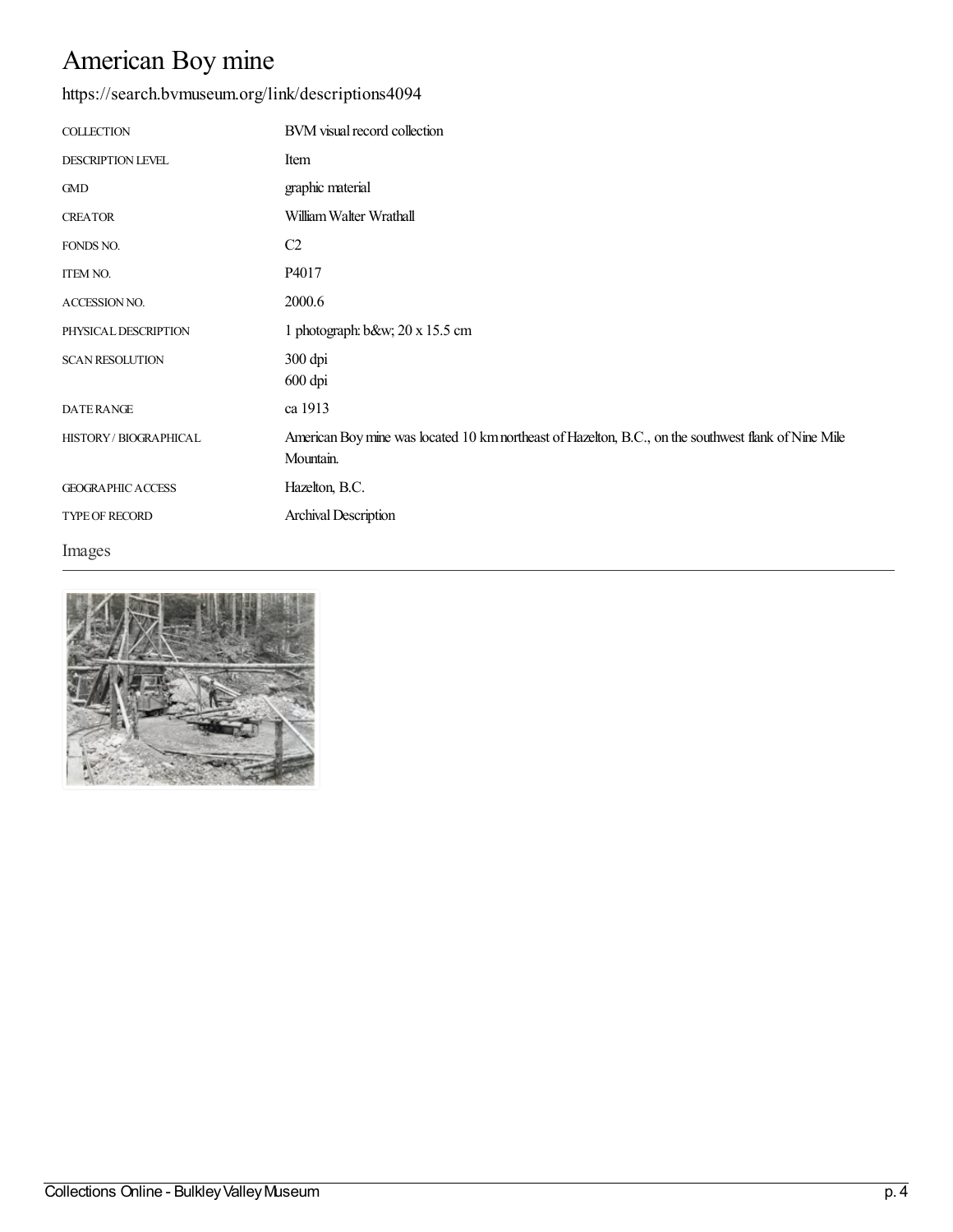# American Boy mine

#### <https://search.bvmuseum.org/link/descriptions4094>

| <b>COLLECTION</b>        | BVM visual record collection                                                                                      |
|--------------------------|-------------------------------------------------------------------------------------------------------------------|
| <b>DESCRIPTION LEVEL</b> | Item                                                                                                              |
| <b>GMD</b>               | graphic material                                                                                                  |
| <b>CREATOR</b>           | William Walter Wrathall                                                                                           |
| FONDS NO.                | C <sub>2</sub>                                                                                                    |
| ITEM NO.                 | P4017                                                                                                             |
| ACCESSION NO.            | 2000.6                                                                                                            |
| PHYSICAL DESCRIPTION     | 1 photograph: $b$ &w 20 x 15.5 cm                                                                                 |
| <b>SCAN RESOLUTION</b>   | 300 dpi<br>600 dpi                                                                                                |
| <b>DATERANGE</b>         | ca 1913                                                                                                           |
| HISTORY / BIOGRAPHICAL   | American Boy mine was located 10 km northeast of Hazelton, B.C., on the southwest flank of Nine Mile<br>Mountain. |
| <b>GEOGRAPHIC ACCESS</b> | Hazelton, B.C.                                                                                                    |
| TYPE OF RECORD           | Archival Description                                                                                              |

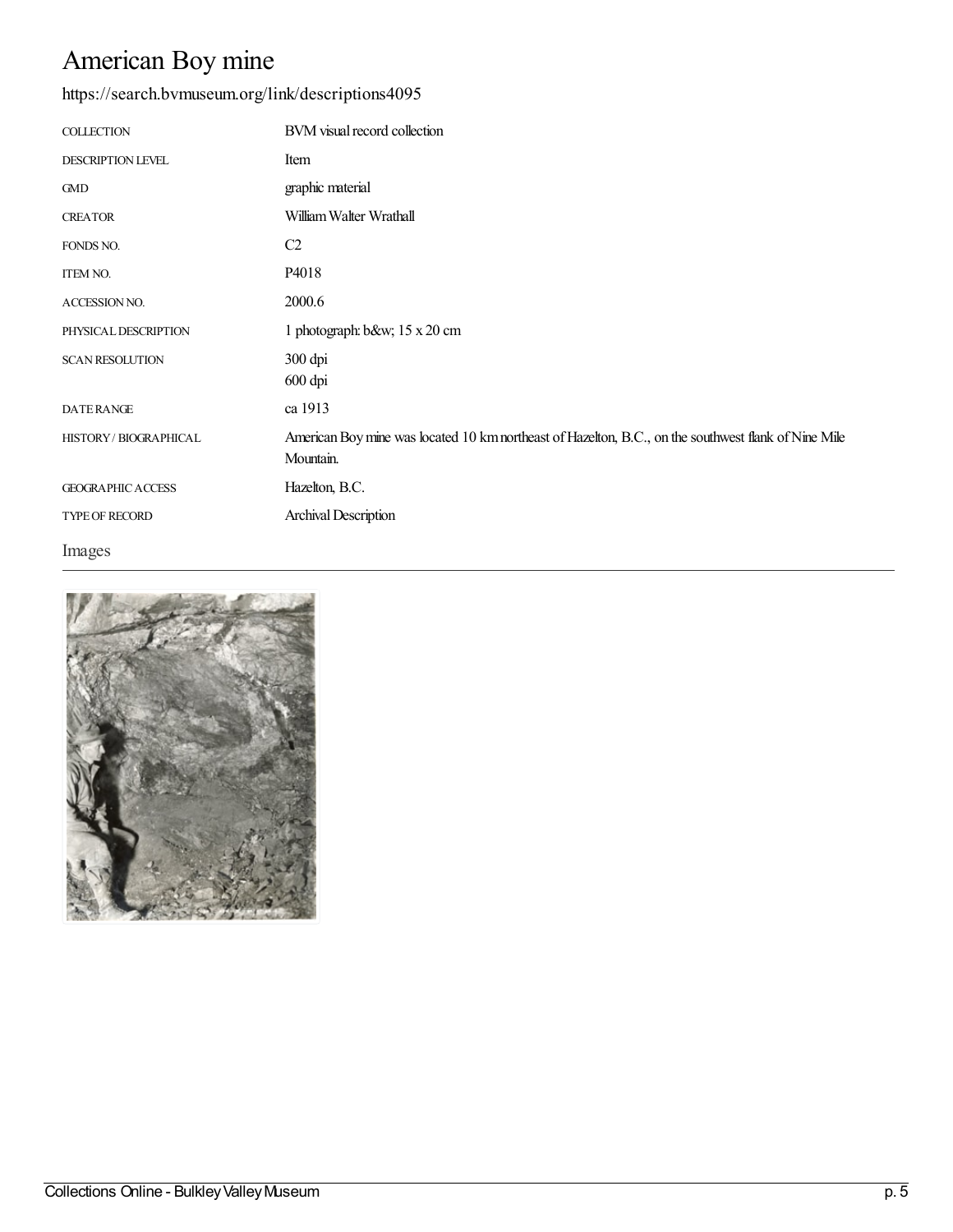# American Boy mine

#### <https://search.bvmuseum.org/link/descriptions4095>

| <b>COLLECTION</b>        | BVM visual record collection                                                                                      |
|--------------------------|-------------------------------------------------------------------------------------------------------------------|
| DESCRIPTION LEVEL        | Item                                                                                                              |
| <b>GMD</b>               | graphic material                                                                                                  |
| <b>CREATOR</b>           | William Walter Wrathall                                                                                           |
| FONDS NO.                | C2                                                                                                                |
| ITEM NO.                 | P4018                                                                                                             |
| ACCESSION NO.            | 2000.6                                                                                                            |
| PHYSICAL DESCRIPTION     | 1 photograph: b&w 15 x 20 cm                                                                                      |
| <b>SCAN RESOLUTION</b>   | 300 dpi<br>600 dpi                                                                                                |
| <b>DATERANGE</b>         | ca 1913                                                                                                           |
| HISTORY / BIOGRAPHICAL   | American Boy mine was located 10 km northeast of Hazelton, B.C., on the southwest flank of Nine Mile<br>Mountain. |
| <b>GEOGRAPHIC ACCESS</b> | Hazelton, B.C.                                                                                                    |
| TYPE OF RECORD           | Archival Description                                                                                              |

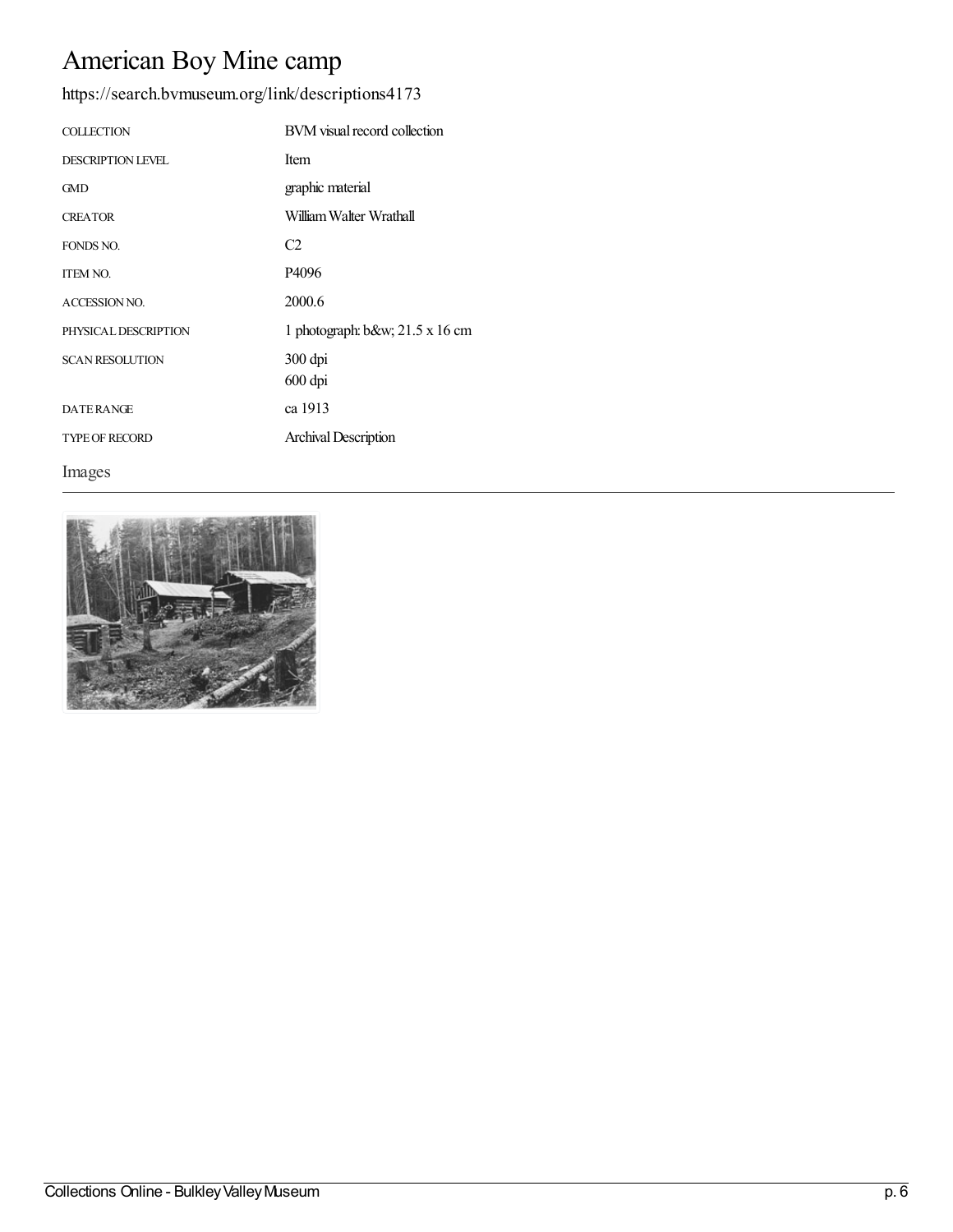## American Boy Mine camp

<https://search.bvmuseum.org/link/descriptions4173>

| <b>COLLECTION</b>        | BVM visual record collection      |
|--------------------------|-----------------------------------|
| <b>DESCRIPTION LEVEL</b> | Item                              |
| <b>GMD</b>               | graphic material                  |
| <b>CREATOR</b>           | William Walter Wrathall           |
| FONDS NO.                | C <sub>2</sub>                    |
| <b>ITEM NO.</b>          | P4096                             |
| <b>ACCESSION NO.</b>     | 2000.6                            |
| PHYSICAL DESCRIPTION     | 1 photograph: $b$ &w 21.5 x 16 cm |
| <b>SCAN RESOLUTION</b>   | 300 dpi                           |
|                          | 600 dpi                           |
| <b>DATERANGE</b>         | ca 1913                           |
| <b>TYPE OF RECORD</b>    | Archival Description              |

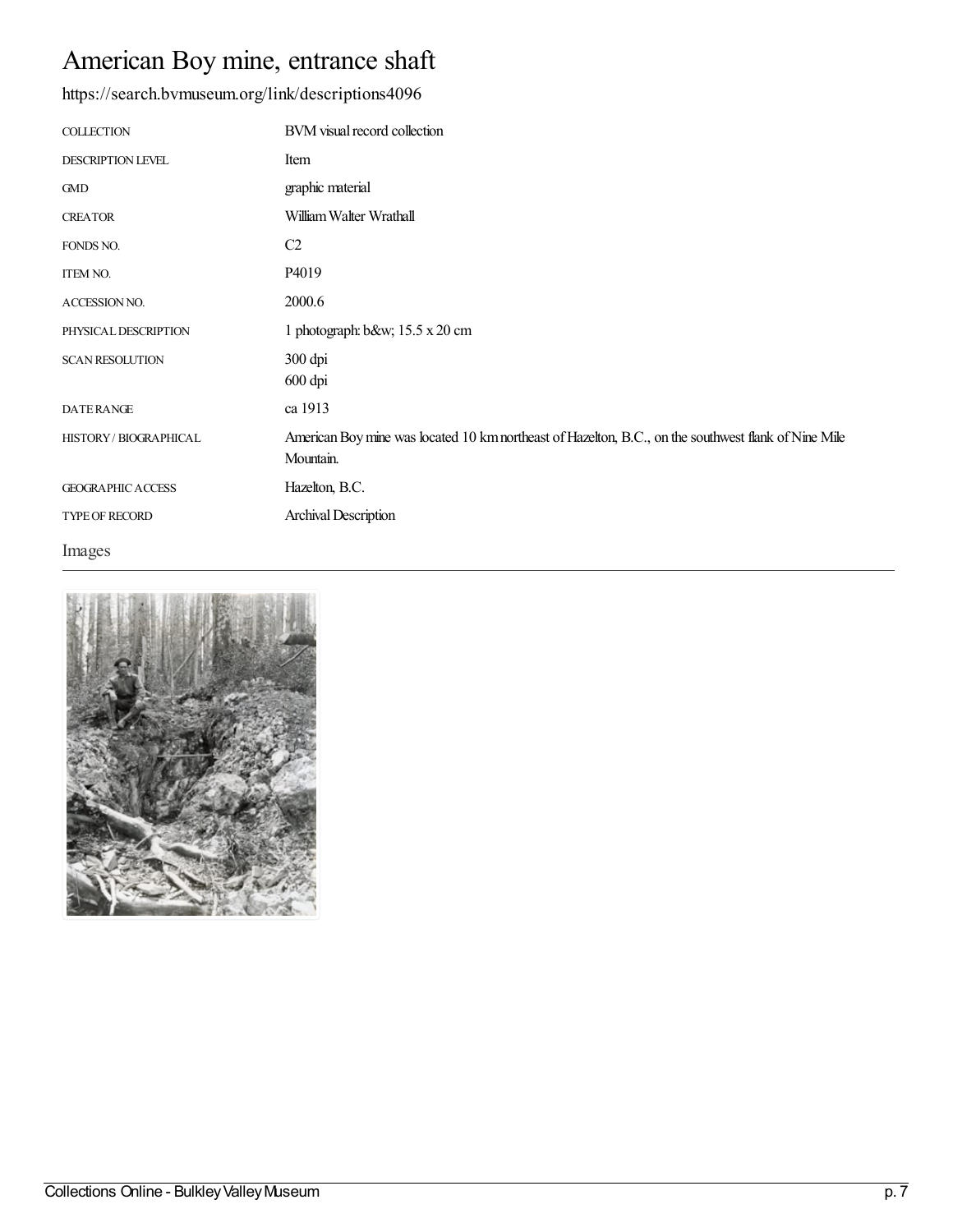## American Boy mine, entrance shaft

<https://search.bvmuseum.org/link/descriptions4096>

| <b>COLLECTION</b>        | BVM visual record collection                                                                                      |
|--------------------------|-------------------------------------------------------------------------------------------------------------------|
| DESCRIPTION LEVEL        | Item                                                                                                              |
| <b>GMD</b>               | graphic material                                                                                                  |
| <b>CREATOR</b>           | William Walter Wrathall                                                                                           |
| FONDS NO.                | C <sub>2</sub>                                                                                                    |
| <b>ITEM NO.</b>          | P4019                                                                                                             |
| ACCESSION NO.            | 2000.6                                                                                                            |
| PHYSICAL DESCRIPTION     | 1 photograph: b&w 15.5 x 20 cm                                                                                    |
| <b>SCAN RESOLUTION</b>   | 300 dpi<br>600 dpi                                                                                                |
| <b>DATERANGE</b>         | ca 1913                                                                                                           |
| HISTORY / BIOGRAPHICAL   | American Boy mine was located 10 km northeast of Hazelton, B.C., on the southwest flank of Nine Mile<br>Mountain. |
| <b>GEOGRAPHIC ACCESS</b> | Hazelton, B.C.                                                                                                    |
| <b>TYPE OF RECORD</b>    | <b>Archival Description</b>                                                                                       |

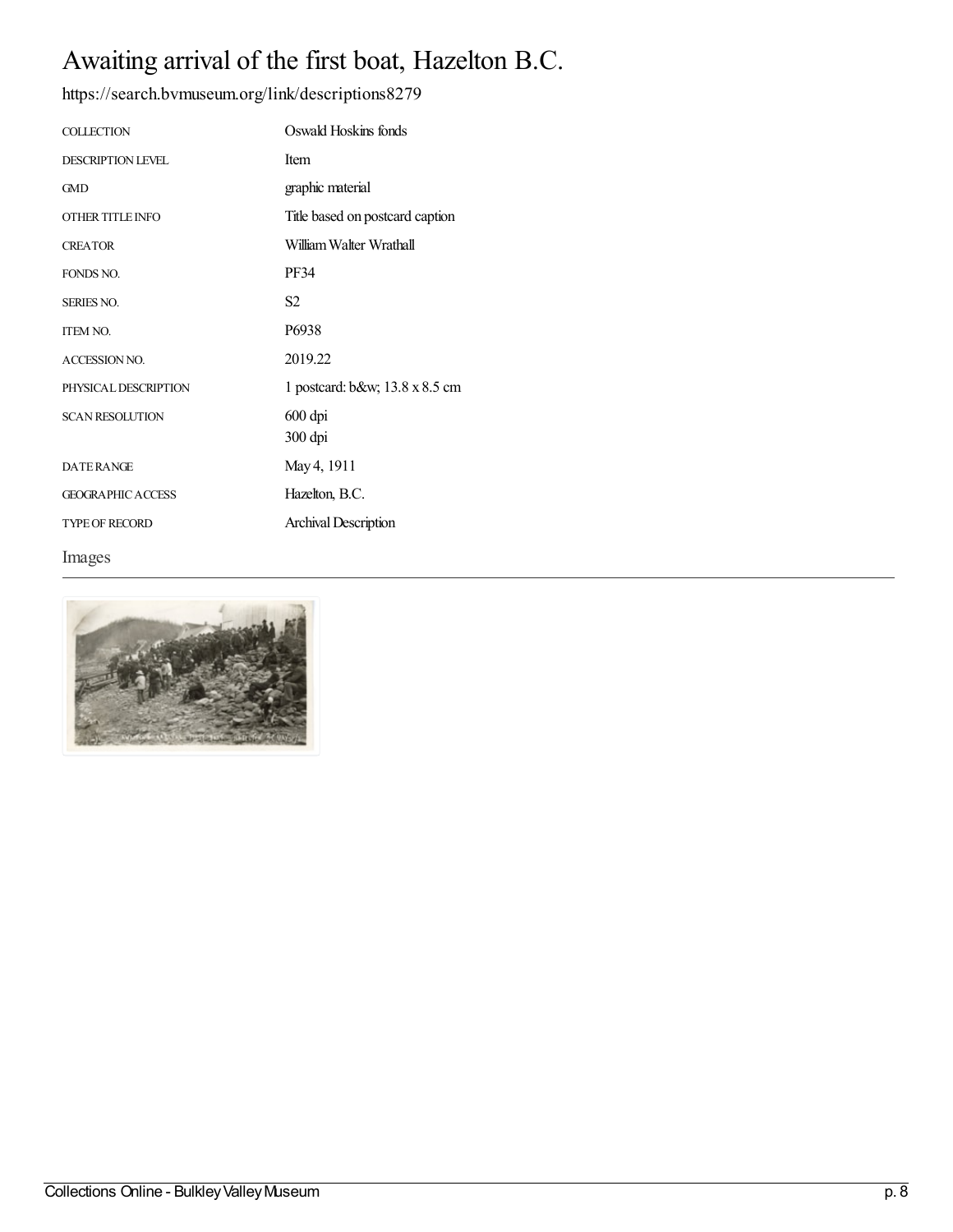## Awaiting arrival of the first boat, Hazelton B.C.

| <b>COLLECTION</b>        | Oswald Hoskins fonds            |
|--------------------------|---------------------------------|
| <b>DESCRIPTION LEVEL</b> | <b>Item</b>                     |
| <b>GMD</b>               | graphic material                |
| OTHER TITLE INFO         | Title based on postcard caption |
| <b>CREATOR</b>           | William Walter Wrathall         |
| FONDS NO.                | <b>PF34</b>                     |
| <b>SERIES NO.</b>        | S <sub>2</sub>                  |
| <b>ITEM NO.</b>          | P6938                           |
| <b>ACCESSION NO.</b>     | 2019.22                         |
| PHYSICAL DESCRIPTION     | 1 postcard: b&w 13.8 x 8.5 cm   |
| <b>SCAN RESOLUTION</b>   | 600 dpi<br>300 dpi              |
| <b>DATERANGE</b>         | May 4, 1911                     |
| <b>GEOGRAPHIC ACCESS</b> | Hazelton, B.C.                  |
| <b>TYPE OF RECORD</b>    | <b>Archival Description</b>     |
| Images                   |                                 |

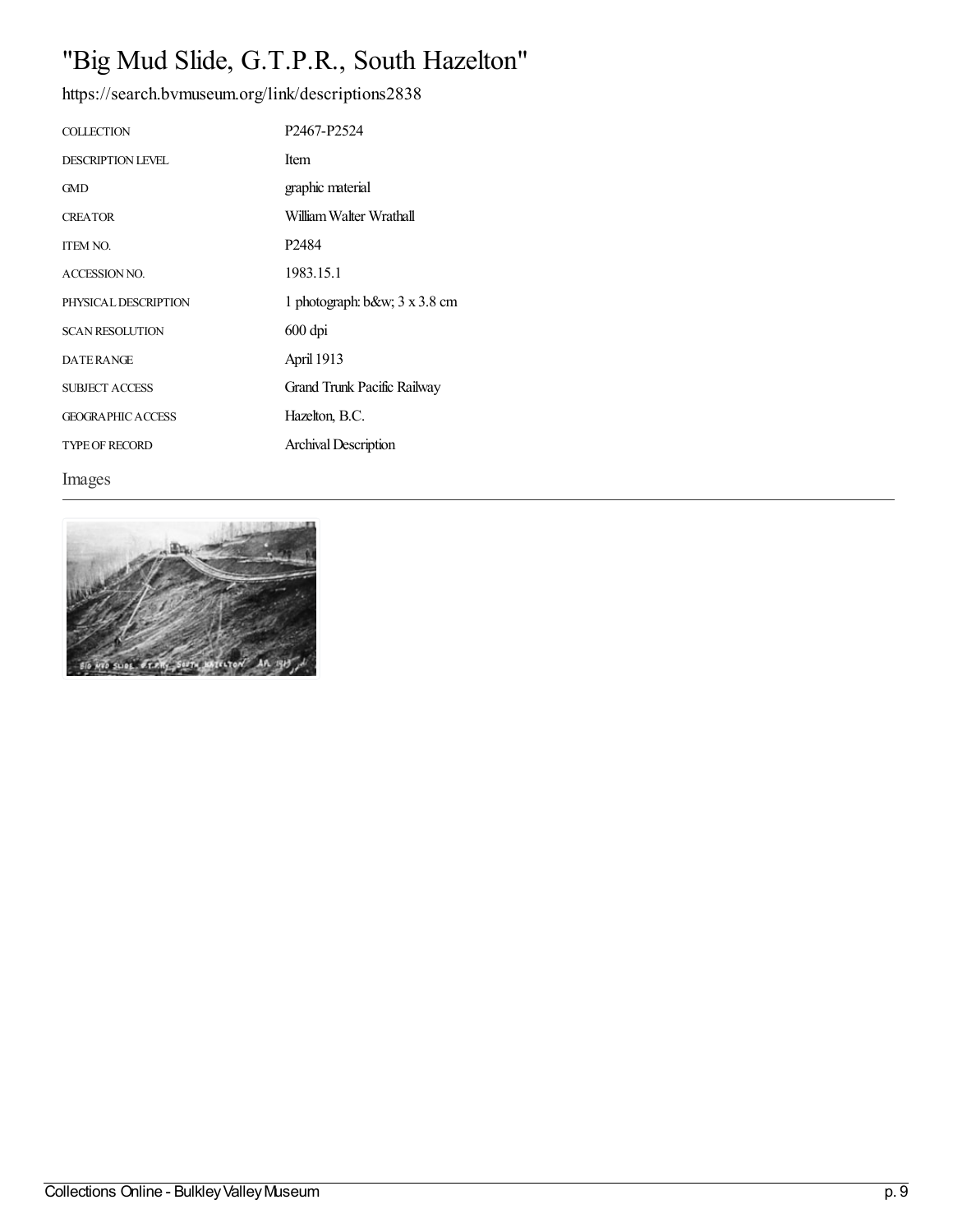# "Big Mud Slide, G.T.P.R., South Hazelton"

<https://search.bvmuseum.org/link/descriptions2838>

| <b>COLLECTION</b>        | P <sub>2467</sub> -P <sub>2524</sub> |
|--------------------------|--------------------------------------|
| <b>DESCRIPTION LEVEL</b> | Item                                 |
| <b>GMD</b>               | graphic material                     |
| <b>CREATOR</b>           | William Walter Wrathall              |
| <b>ITEM NO.</b>          | P <sub>2484</sub>                    |
| ACCESSION NO.            | 1983.15.1                            |
| PHYSICAL DESCRIPTION     | 1 photograph: b&w 3 x 3.8 cm         |
| <b>SCAN RESOLUTION</b>   | $600$ dpi                            |
| <b>DATERANGE</b>         | April 1913                           |
| <b>SUBJECT ACCESS</b>    | Grand Trunk Pacific Railway          |
| <b>GEOGRAPHIC ACCESS</b> | Hazelton, B.C.                       |
| <b>TYPE OF RECORD</b>    | Archival Description                 |

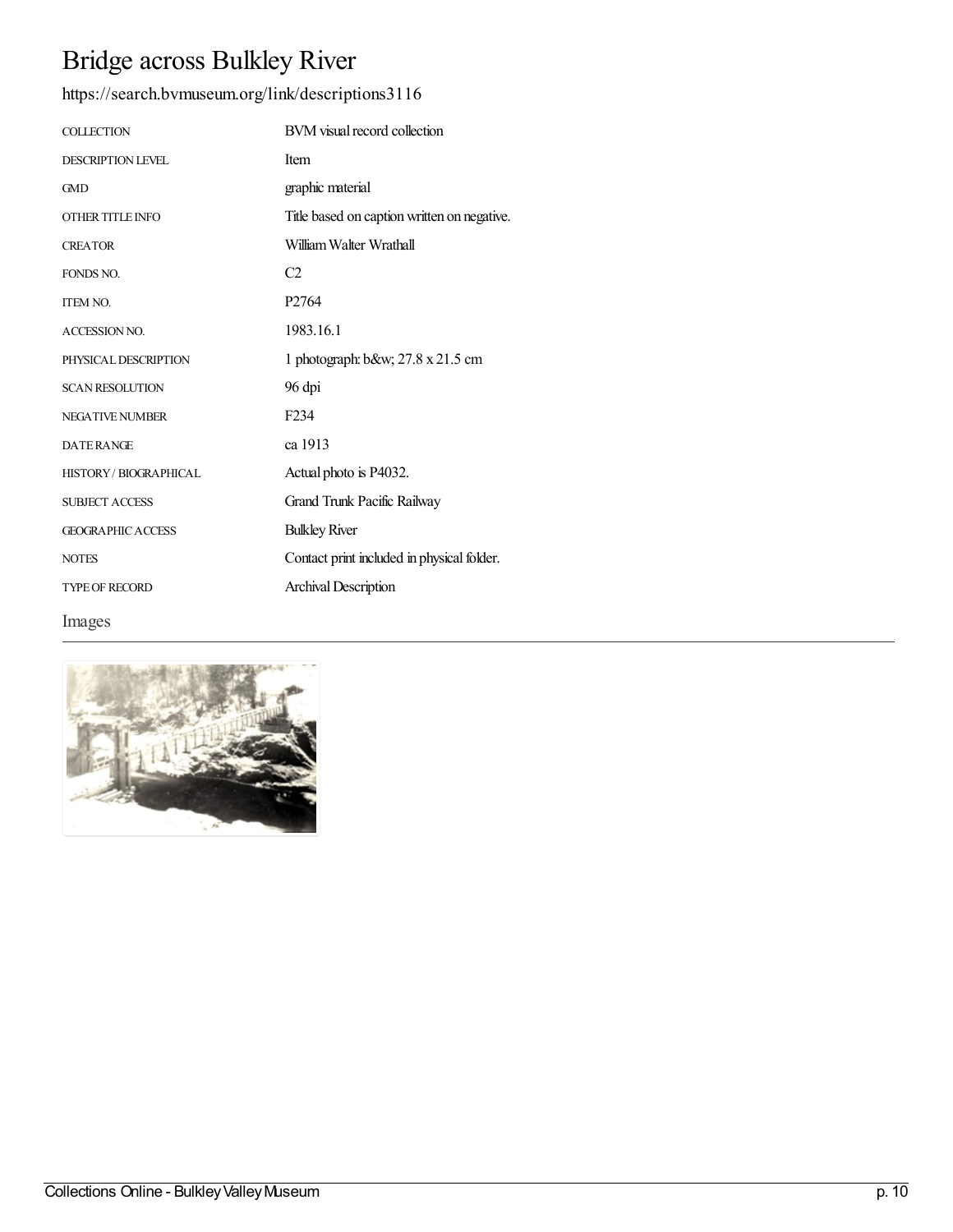# Bridge across Bulkley River

#### <https://search.bvmuseum.org/link/descriptions3116>

| <b>COLLECTION</b>           | BVM visual record collection                |
|-----------------------------|---------------------------------------------|
| <b>DESCRIPTION LEVEL</b>    | Item                                        |
| <b>GMD</b>                  | graphic material                            |
| OTHER TITLE INFO            | Title based on caption written on negative. |
| <b>CREATOR</b>              | William Walter Wrathall                     |
| <b>FONDS NO.</b>            | C <sub>2</sub>                              |
| <b>ITEM NO.</b>             | P <sub>2764</sub>                           |
| <b>ACCESSION NO.</b>        | 1983.16.1                                   |
| PHYSICAL DESCRIPTION        | 1 photograph: b&w 27.8 x 21.5 cm            |
| <b>SCAN RESOLUTION</b>      | 96 dpi                                      |
| <b>NEGATIVE NUMBER</b>      | F <sub>2</sub> 34                           |
| <b>DATERANGE</b>            | ca 1913                                     |
| <b>HISTORY/BIOGRAPHICAL</b> | Actual photo is P4032.                      |
| <b>SUBJECT ACCESS</b>       | Grand Trunk Pacific Railway                 |
| <b>GEOGRAPHIC ACCESS</b>    | <b>Bulkley River</b>                        |
| <b>NOTES</b>                | Contact print included in physical folder.  |
| <b>TYPE OF RECORD</b>       | <b>Archival Description</b>                 |
|                             |                                             |

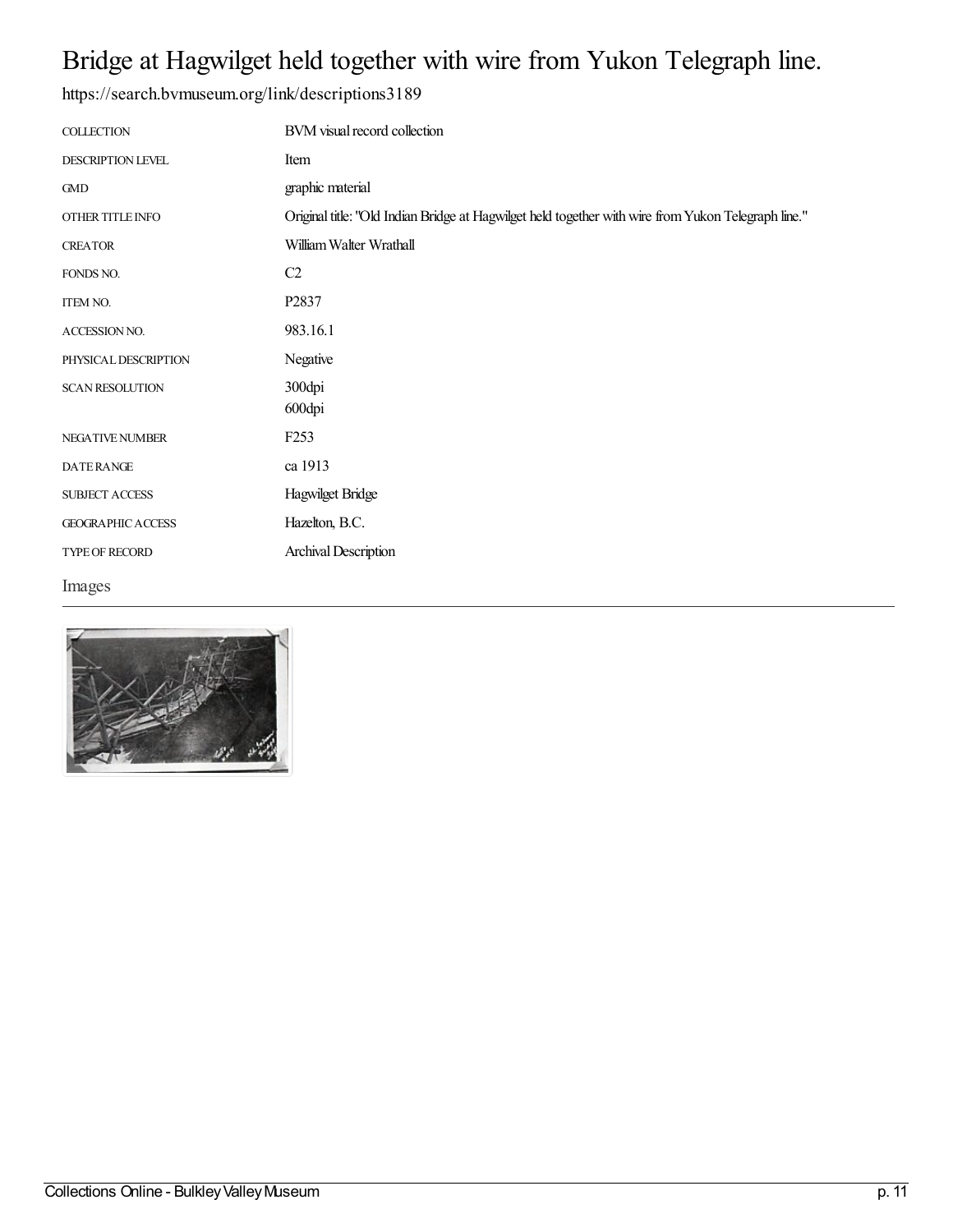## Bridge at Hagwilget held together with wire from Yukon Telegraph line.

| <b>COLLECTION</b>        | BVM visual record collection                                                                        |
|--------------------------|-----------------------------------------------------------------------------------------------------|
| DESCRIPTION LEVEL        | Item                                                                                                |
| <b>GMD</b>               | graphic material                                                                                    |
| OTHER TITLE INFO         | Original title: "Old Indian Bridge at Hagwilget held together with wire from Yukon Telegraph line." |
| <b>CREATOR</b>           | William Walter Wrathall                                                                             |
| FONDS NO.                | C <sub>2</sub>                                                                                      |
| <b>ITEM NO.</b>          | P2837                                                                                               |
| ACCESSION NO.            | 983.16.1                                                                                            |
| PHYSICAL DESCRIPTION     | Negative                                                                                            |
| <b>SCAN RESOLUTION</b>   | 300dpi                                                                                              |
|                          | 600dpi                                                                                              |
| <b>NEGATIVE NUMBER</b>   | F <sub>253</sub>                                                                                    |
| <b>DATERANGE</b>         | ca 1913                                                                                             |
| <b>SUBJECT ACCESS</b>    | Hagwilget Bridge                                                                                    |
| <b>GEOGRAPHIC ACCESS</b> | Hazelton, B.C.                                                                                      |
| TYPE OF RECORD           | Archival Description                                                                                |
| Images                   |                                                                                                     |

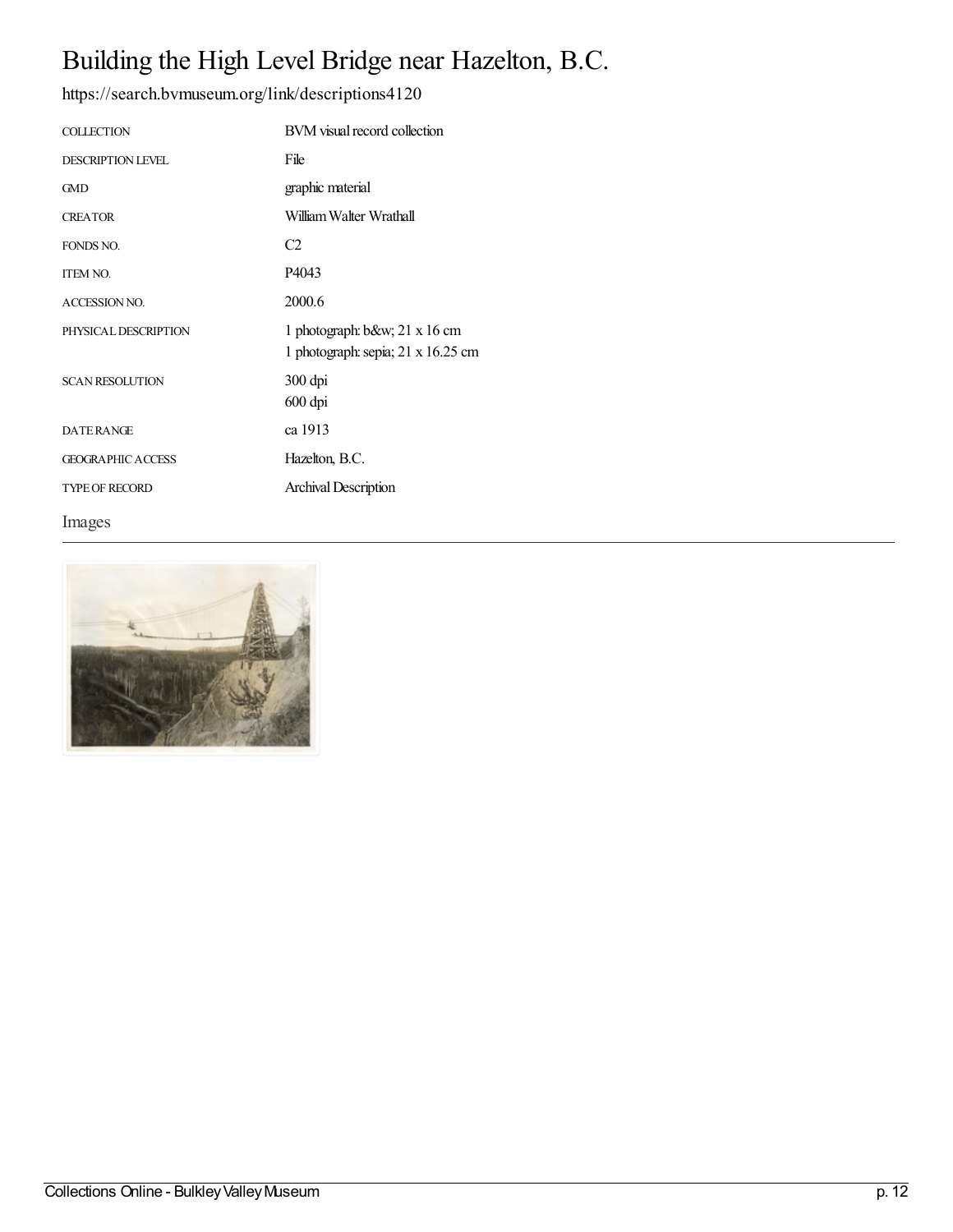## Building the High Level Bridge near Hazelton, B.C.

<https://search.bvmuseum.org/link/descriptions4120>

| <b>COLLECTION</b>        | BVM visual record collection                                          |
|--------------------------|-----------------------------------------------------------------------|
| <b>DESCRIPTION LEVEL</b> | File                                                                  |
| <b>GMD</b>               | graphic material                                                      |
| <b>CREATOR</b>           | William Walter Wrathall                                               |
| FONDS NO.                | C <sub>2</sub>                                                        |
| <b>ITEM NO.</b>          | P4043                                                                 |
| <b>ACCESSION NO.</b>     | 2000.6                                                                |
| PHYSICAL DESCRIPTION     | 1 photograph: $b$ &w 21 x 16 cm<br>1 photograph: sepia; 21 x 16.25 cm |
|                          |                                                                       |
| <b>SCAN RESOLUTION</b>   | 300 dpi<br>600 dpi                                                    |
| <b>DATERANGE</b>         | ca 1913                                                               |
| <b>GEOGRAPHIC ACCESS</b> | Hazelton, B.C.                                                        |
| <b>TYPE OF RECORD</b>    | <b>Archival Description</b>                                           |

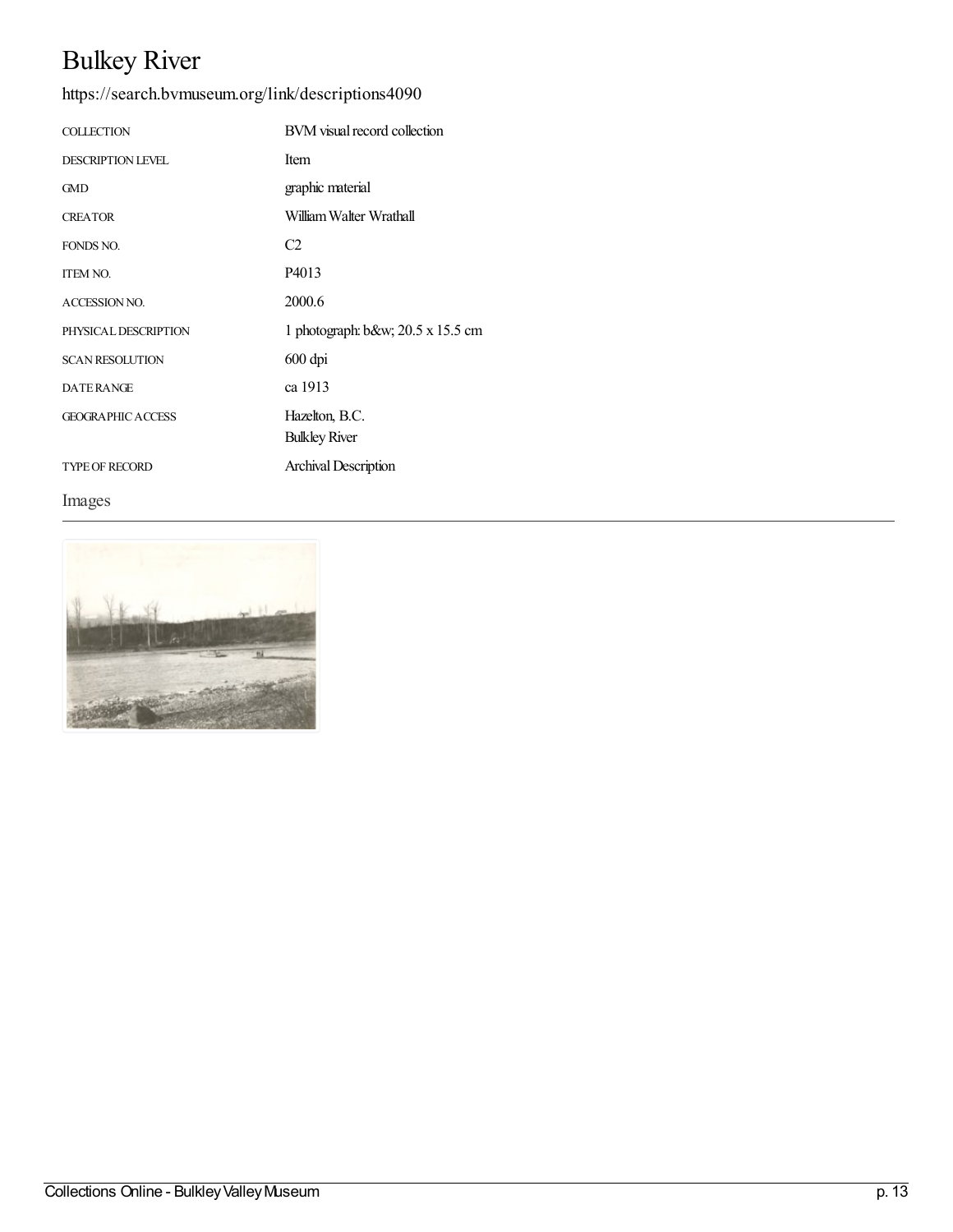# Bulkey River

<https://search.bvmuseum.org/link/descriptions4090>

| <b>COLLECTION</b>        | BVM visual record collection            |
|--------------------------|-----------------------------------------|
| <b>DESCRIPTION LEVEL</b> | <b>Item</b>                             |
| <b>GMD</b>               | graphic material                        |
| <b>CREATOR</b>           | William Walter Wrathall                 |
| FONDS NO.                | C2                                      |
| <b>ITEM NO.</b>          | P4013                                   |
| <b>ACCESSION NO.</b>     | 2000.6                                  |
| PHYSICAL DESCRIPTION     | 1 photograph: b&w $20.5 \times 15.5$ cm |
| <b>SCAN RESOLUTION</b>   | 600 dpi                                 |
| <b>DATERANGE</b>         | ca 1913                                 |
| <b>GEOGRAPHIC ACCESS</b> | Hazelton, B.C.                          |
|                          | <b>Bulkley River</b>                    |
| <b>TYPE OF RECORD</b>    | Archival Description                    |

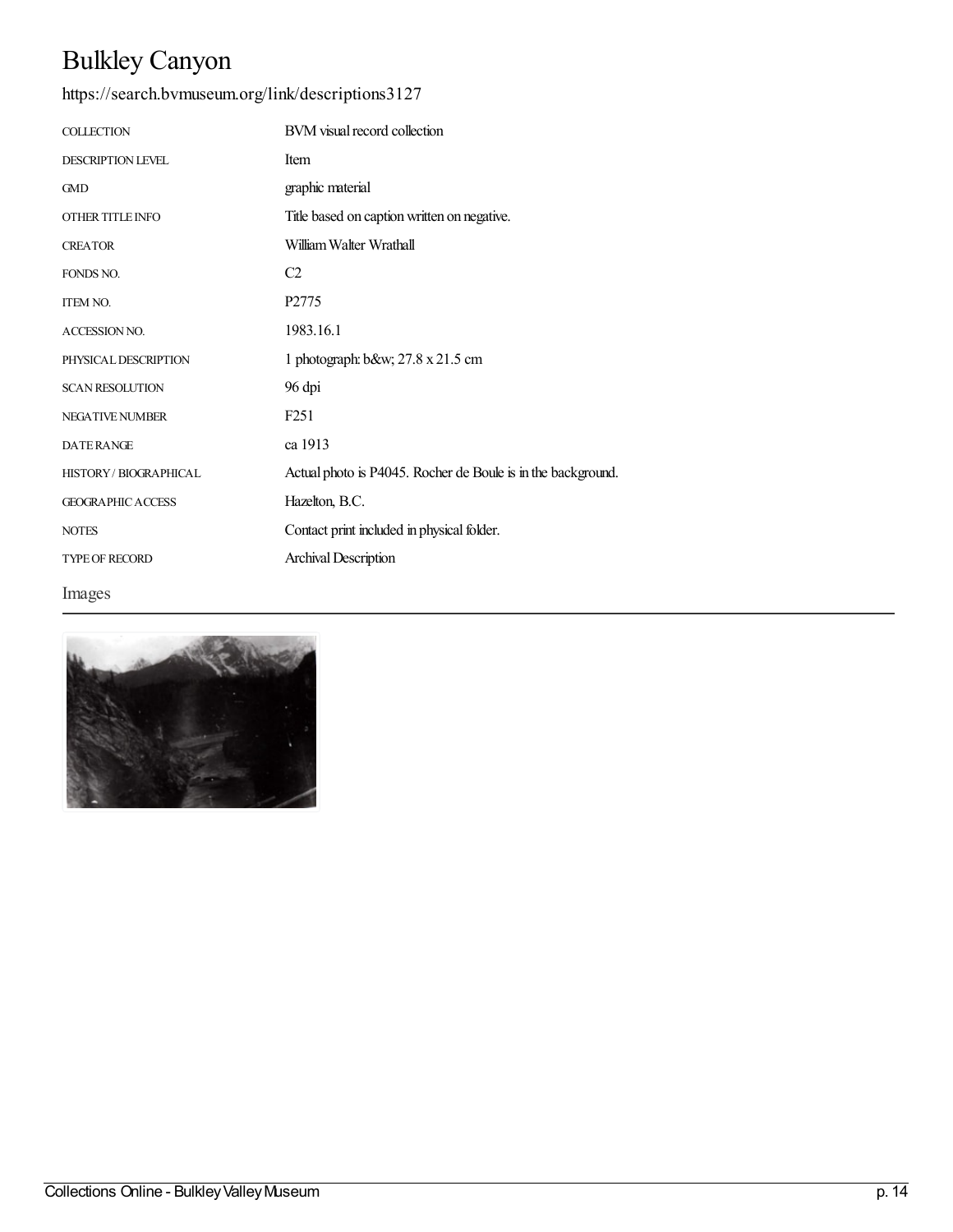## Bulkley Canyon

| <b>COLLECTION</b>        | BVM visual record collection                                 |
|--------------------------|--------------------------------------------------------------|
| <b>DESCRIPTION LEVEL</b> | Item                                                         |
| <b>GMD</b>               | graphic material                                             |
| OTHER TITLE INFO         | Title based on caption written on negative.                  |
| <b>CREATOR</b>           | William Walter Wrathall                                      |
| FONDS NO.                | C <sub>2</sub>                                               |
| <b>ITEM NO.</b>          | P2775                                                        |
| ACCESSION NO.            | 1983.16.1                                                    |
| PHYSICAL DESCRIPTION     | 1 photograph: b&w 27.8 x 21.5 cm                             |
| <b>SCAN RESOLUTION</b>   | 96 dpi                                                       |
| <b>NEGATIVE NUMBER</b>   | F <sub>251</sub>                                             |
| <b>DATERANGE</b>         | ca 1913                                                      |
| HISTORY / BIOGRAPHICAL   | Actual photo is P4045. Rocher de Boule is in the background. |
| <b>GEOGRAPHIC ACCESS</b> | Hazelton, B.C.                                               |
| <b>NOTES</b>             | Contact print included in physical folder.                   |
| <b>TYPE OF RECORD</b>    | Archival Description                                         |
| Images                   |                                                              |

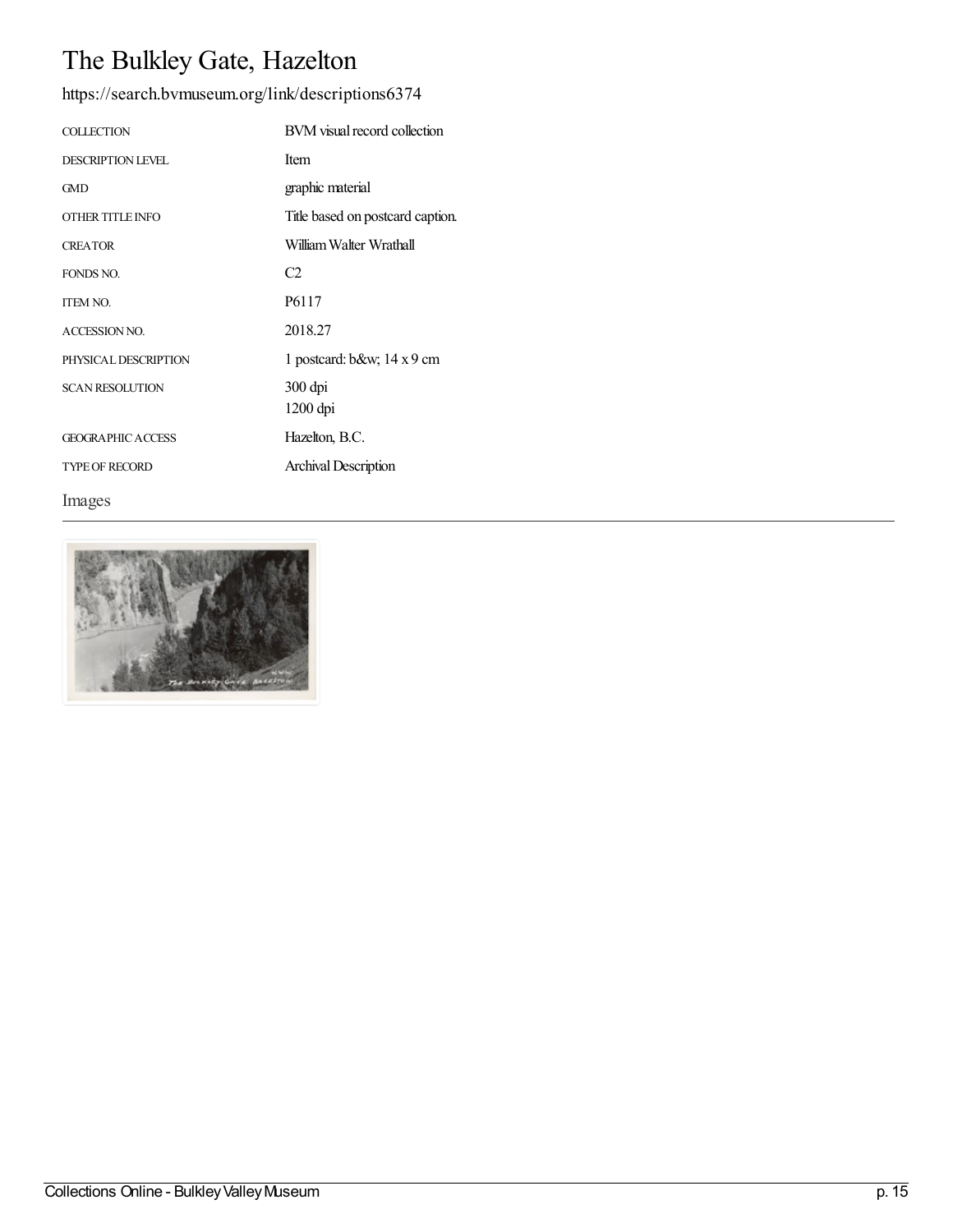# The Bulkley Gate, Hazelton

<https://search.bvmuseum.org/link/descriptions6374>

| <b>COLLECTION</b>        | BVM visual record collection     |
|--------------------------|----------------------------------|
| <b>DESCRIPTION LEVEL</b> | Item                             |
| GMD                      | graphic material                 |
| OTHER TITLE INFO         | Title based on postcard caption. |
| <b>CREATOR</b>           | William Walter Wrathall          |
| FONDS NO.                | C <sub>2</sub>                   |
| <b>ITEM NO.</b>          | P <sub>6117</sub>                |
| <b>ACCESSION NO.</b>     | 2018.27                          |
| PHYSICAL DESCRIPTION     | 1 postcard: $b$ &w 14 x 9 cm     |
| <b>SCAN RESOLUTION</b>   | 300 dpi                          |
|                          | $1200$ dpi                       |
| <b>GEOGRAPHIC ACCESS</b> | Hazelton, B.C.                   |
| <b>TYPE OF RECORD</b>    | Archival Description             |

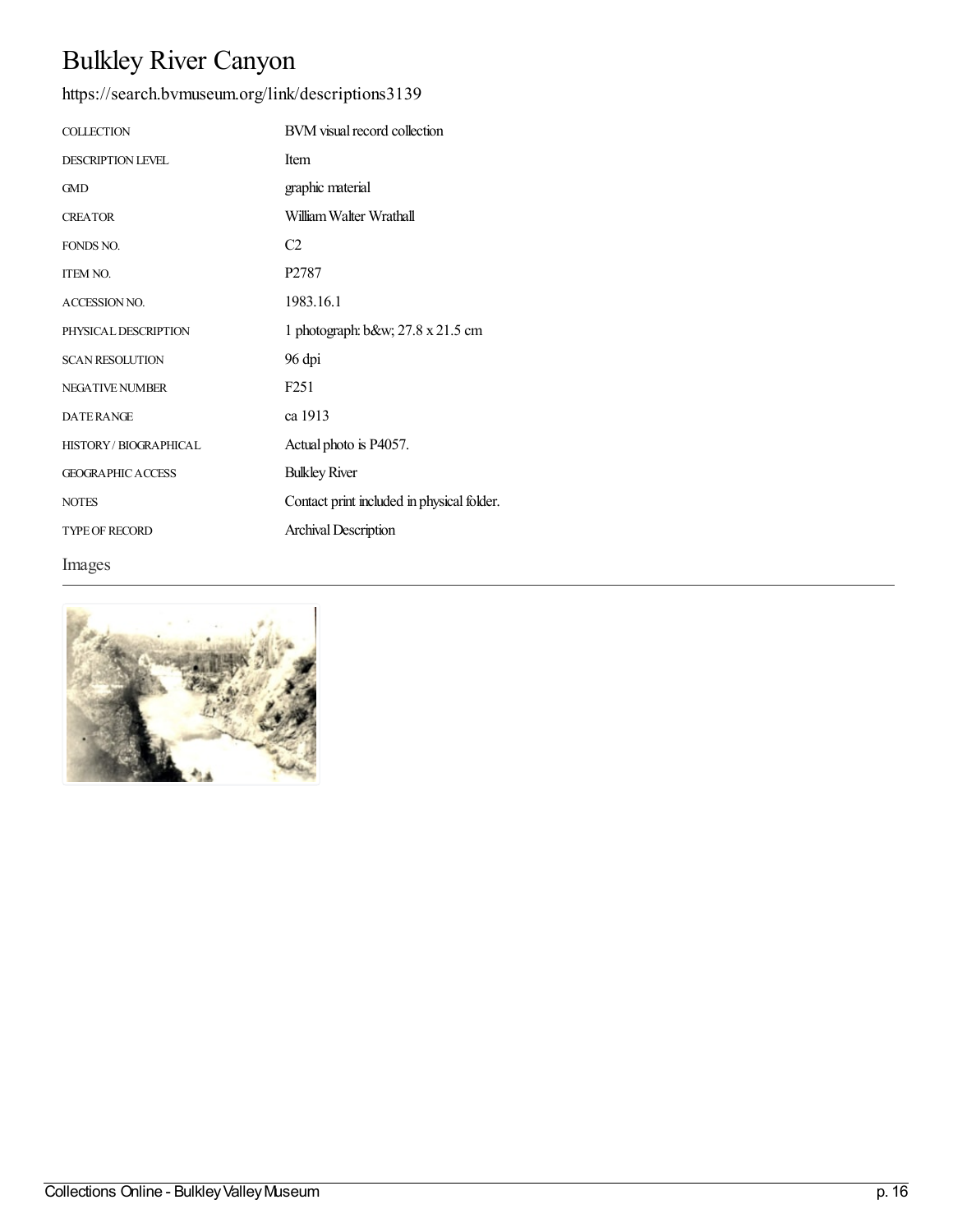# Bulkley River Canyon

| <b>COLLECTION</b>           | BVM visual record collection               |
|-----------------------------|--------------------------------------------|
| <b>DESCRIPTION LEVEL</b>    | Item                                       |
| <b>GMD</b>                  | graphic material                           |
| <b>CREATOR</b>              | William Walter Wrathall                    |
| FONDS NO.                   | C <sub>2</sub>                             |
| <b>ITEM NO.</b>             | P <sub>2787</sub>                          |
| <b>ACCESSION NO.</b>        | 1983.16.1                                  |
| PHYSICAL DESCRIPTION        | 1 photograph: b&w 27.8 x 21.5 cm           |
| <b>SCAN RESOLUTION</b>      | 96 dpi                                     |
| <b>NEGATIVE NUMBER</b>      | F <sub>251</sub>                           |
| <b>DATERANGE</b>            | ca 1913                                    |
| <b>HISTORY/BIOGRAPHICAL</b> | Actual photo is P4057.                     |
| <b>GEOGRAPHIC ACCESS</b>    | <b>Bulkley River</b>                       |
| <b>NOTES</b>                | Contact print included in physical folder. |
| <b>TYPE OF RECORD</b>       | <b>Archival Description</b>                |
| Images                      |                                            |

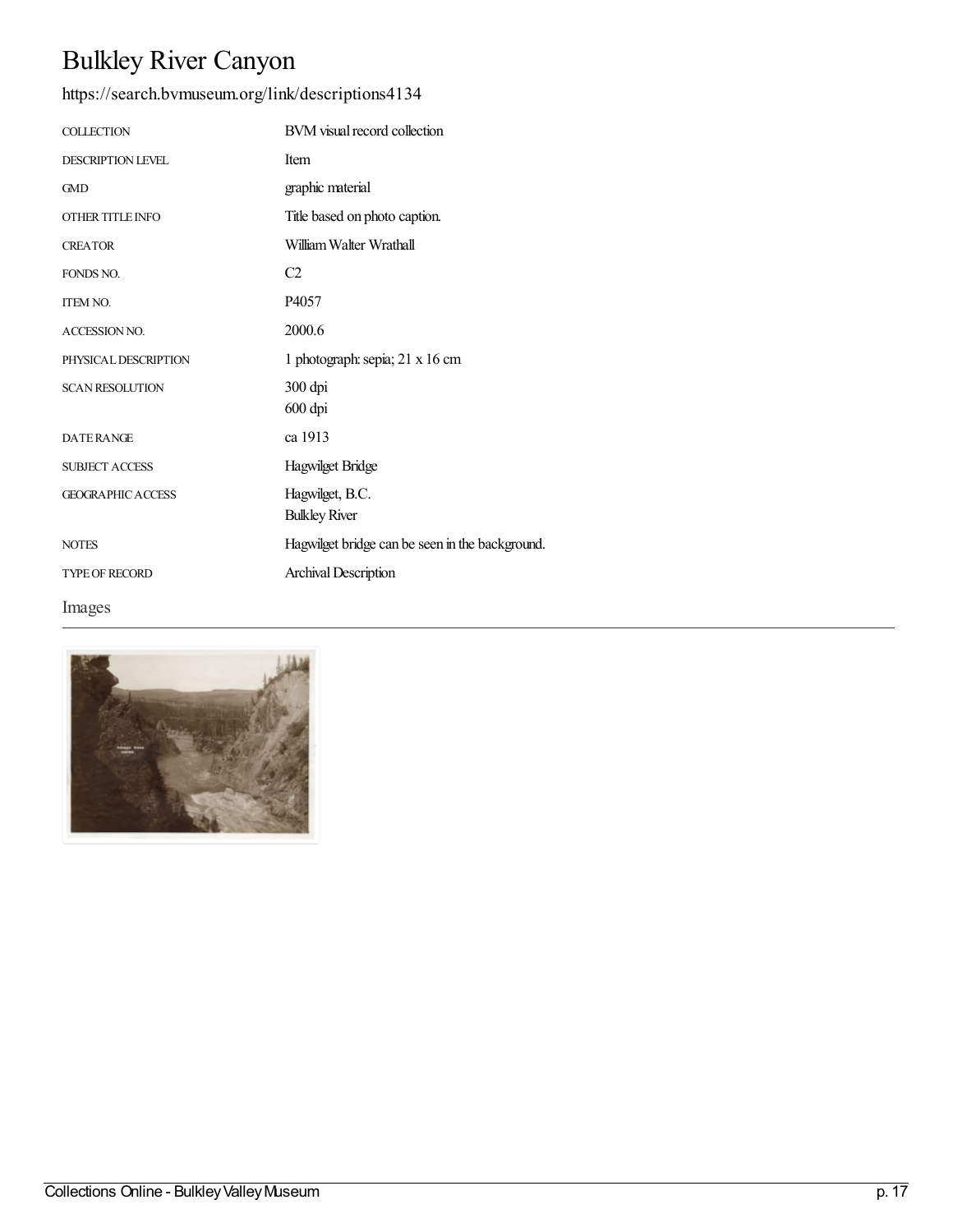# Bulkley River Canyon

| <b>COLLECTION</b>        | BVM visual record collection                    |
|--------------------------|-------------------------------------------------|
| <b>DESCRIPTION LEVEL</b> | Item                                            |
| <b>GMD</b>               | graphic material                                |
| OTHER TITLE INFO         | Title based on photo caption.                   |
| <b>CREATOR</b>           | William Walter Wrathall                         |
| FONDS NO.                | C <sub>2</sub>                                  |
| <b>ITEM NO.</b>          | P4057                                           |
| <b>ACCESSION NO.</b>     | 2000.6                                          |
| PHYSICAL DESCRIPTION     | 1 photograph: sepia; 21 x 16 cm                 |
| <b>SCAN RESOLUTION</b>   | 300 dpi<br>600 dpi                              |
| <b>DATERANGE</b>         | ca 1913                                         |
| <b>SUBJECT ACCESS</b>    | Hagwilget Bridge                                |
| <b>GEOGRAPHIC ACCESS</b> | Hagwilget, B.C.<br><b>Bulkley River</b>         |
| <b>NOTES</b>             | Hagwilget bridge can be seen in the background. |
| <b>TYPE OF RECORD</b>    | Archival Description                            |
| Images                   |                                                 |

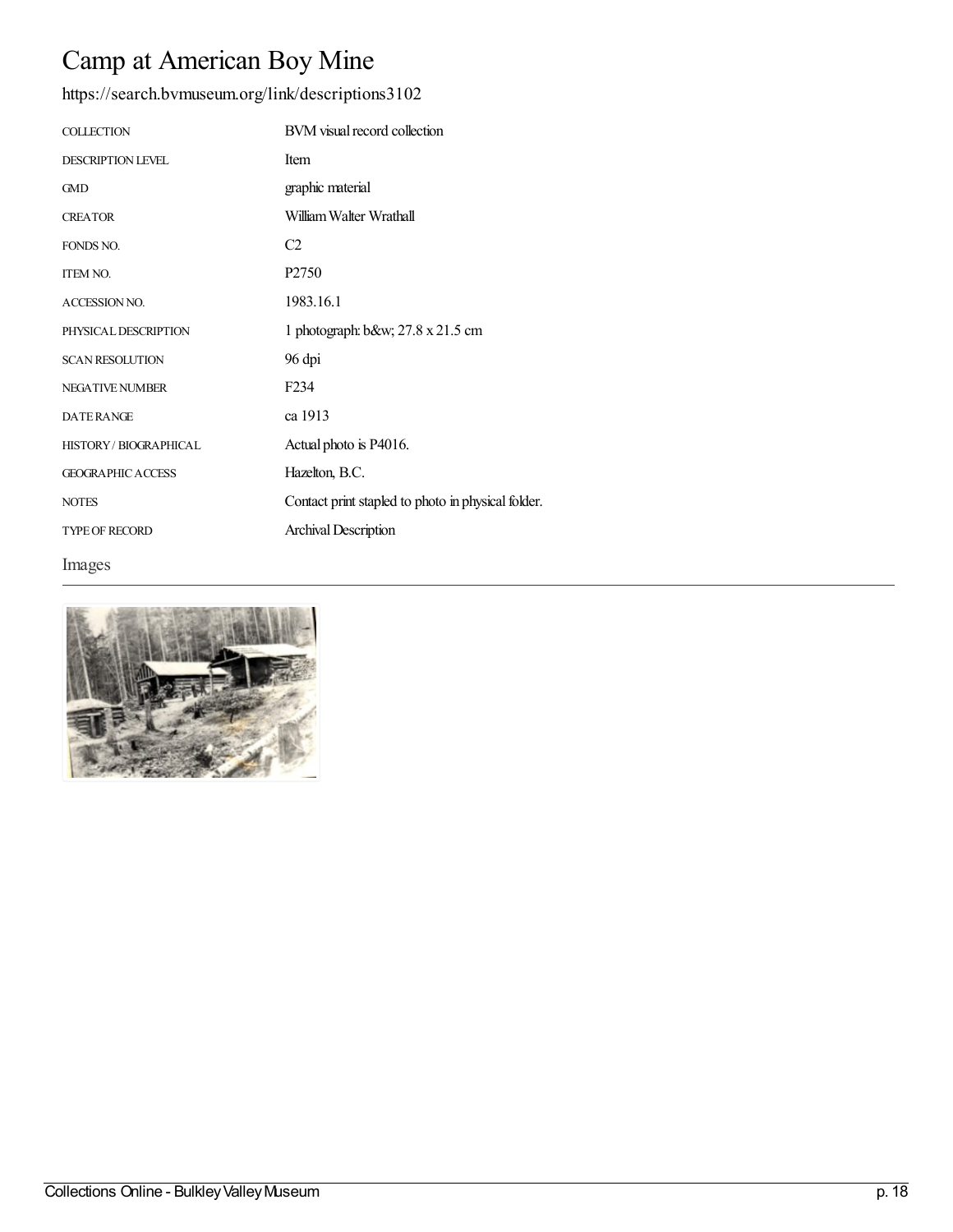## Camp at American Boy Mine

| <b>COLLECTION</b>           | BVM visual record collection                       |
|-----------------------------|----------------------------------------------------|
| <b>DESCRIPTION LEVEL</b>    | <b>Item</b>                                        |
| <b>GMD</b>                  | graphic material                                   |
| <b>CREATOR</b>              | William Walter Wrathall                            |
| FONDS NO.                   | C <sub>2</sub>                                     |
| <b>ITEM NO.</b>             | P <sub>2750</sub>                                  |
| <b>ACCESSION NO.</b>        | 1983.16.1                                          |
| PHYSICAL DESCRIPTION        | 1 photograph: b&w 27.8 x 21.5 cm                   |
| <b>SCAN RESOLUTION</b>      | 96 dpi                                             |
| <b>NEGATIVE NUMBER</b>      | F <sub>2</sub> 34                                  |
| <b>DATERANGE</b>            | ca 1913                                            |
| <b>HISTORY/BIOGRAPHICAL</b> | Actual photo is P4016.                             |
| <b>GEOGRAPHIC ACCESS</b>    | Hazelton, B.C.                                     |
| <b>NOTES</b>                | Contact print stapled to photo in physical folder. |
| <b>TYPE OF RECORD</b>       | Archival Description                               |
| Images                      |                                                    |

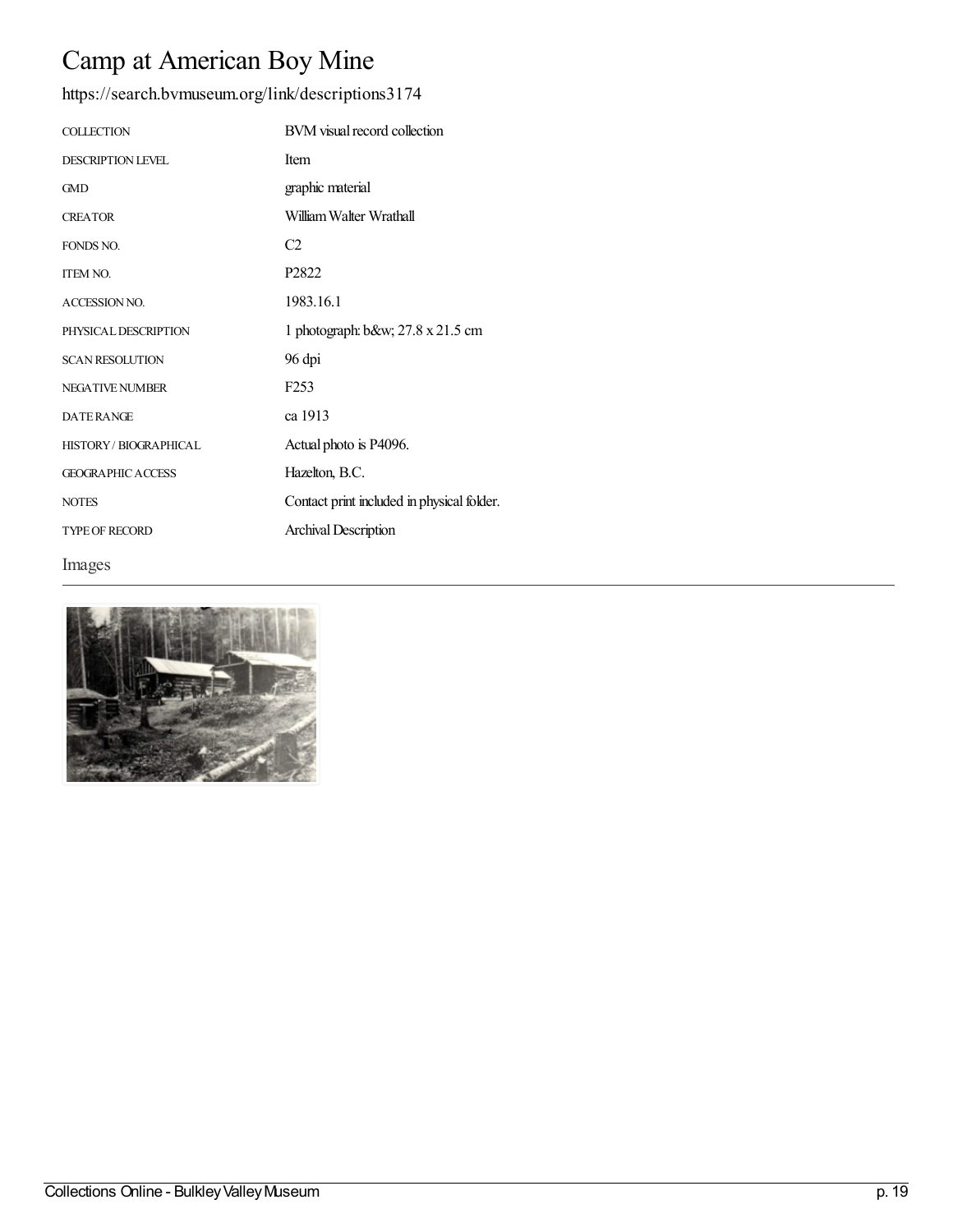## Camp at American Boy Mine

| <b>COLLECTION</b>           | BVM visual record collection               |
|-----------------------------|--------------------------------------------|
| <b>DESCRIPTION LEVEL</b>    | Item                                       |
| <b>GMD</b>                  | graphic material                           |
| <b>CREATOR</b>              | William Walter Wrathall                    |
| FONDS NO.                   | C <sub>2</sub>                             |
| <b>ITEM NO.</b>             | P <sub>2822</sub>                          |
| <b>ACCESSION NO.</b>        | 1983.16.1                                  |
| PHYSICAL DESCRIPTION        | 1 photograph: b&w 27.8 x 21.5 cm           |
| <b>SCAN RESOLUTION</b>      | 96 dpi                                     |
| <b>NEGATIVE NUMBER</b>      | F <sub>253</sub>                           |
| <b>DATERANGE</b>            | ca 1913                                    |
| <b>HISTORY/BIOGRAPHICAL</b> | Actual photo is P4096.                     |
| <b>GEOGRAPHIC ACCESS</b>    | Hazelton, B.C.                             |
| <b>NOTES</b>                | Contact print included in physical folder. |
| <b>TYPE OF RECORD</b>       | <b>Archival Description</b>                |
| Images                      |                                            |